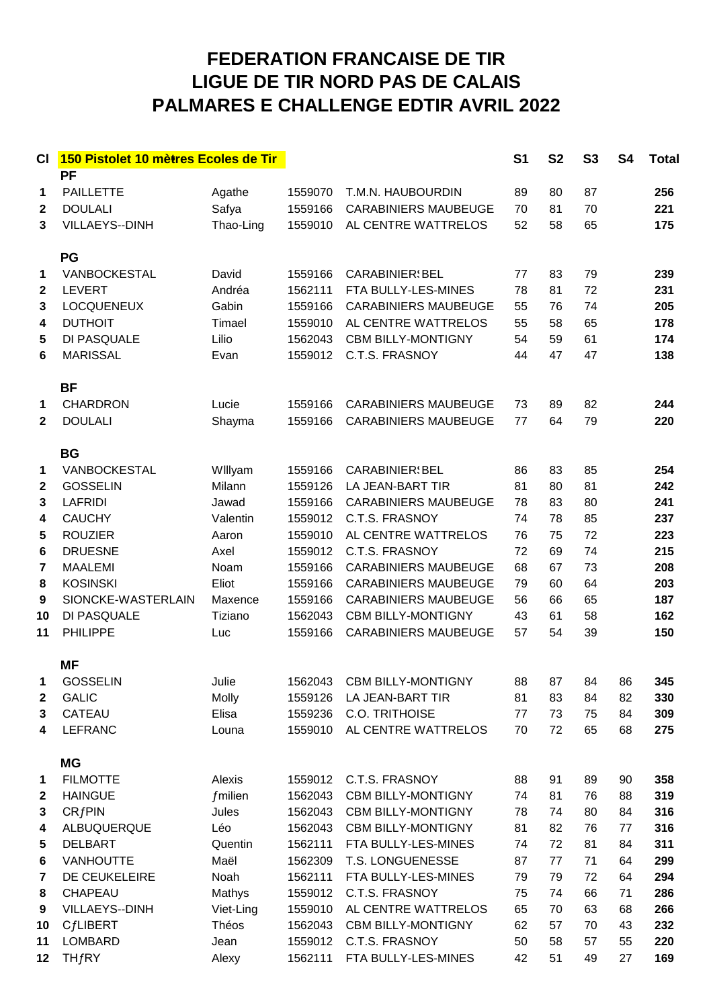## **FEDERATION FRANCAISE DE TIR** LIGUE DE TIR NORD PAS DE CALAIS **PALMARES E CHALLENGE EDTIR AVRIL 2022**

| СI           | 150 Pistolet 10 mètres Ecoles de Tir |                     |                    |                                       | S <sub>1</sub> | <b>S2</b> | <b>S3</b> | <b>S4</b> | <b>Total</b> |
|--------------|--------------------------------------|---------------------|--------------------|---------------------------------------|----------------|-----------|-----------|-----------|--------------|
| 1            | <b>PF</b><br><b>PAILLETTE</b>        | Agathe              | 1559070            | T.M.N. HAUBOURDIN                     | 89             | 80        | 87        |           | 256          |
| $\mathbf{2}$ | <b>DOULALI</b>                       | Safya               | 1559166            | <b>CARABINIERS MAUBEUGE</b>           | 70             | 81        | 70        |           | 221          |
| 3            | VILLAEYS--DINH                       | Thao-Ling           | 1559010            | AL CENTRE WATTRELOS                   | 52             | 58        | 65        |           | 175          |
|              | PG                                   |                     |                    |                                       |                |           |           |           |              |
| 1            | VANBOCKESTAL                         | David               | 1559166            | <b>CARABINIER</b> BEL                 | 77             | 83        | 79        |           | 239          |
| $\mathbf{2}$ | <b>LEVERT</b>                        | Andréa              | 1562111            | FTA BULLY-LES-MINES                   | 78             | 81        | 72        |           | 231          |
| 3            | <b>LOCQUENEUX</b>                    | Gabin               | 1559166            | <b>CARABINIERS MAUBEUGE</b>           | 55             | 76        | 74        |           | 205          |
| 4            | <b>DUTHOIT</b>                       | Timael              | 1559010            | AL CENTRE WATTRELOS                   | 55             | 58        | 65        |           | 178          |
| 5            | DI PASQUALE                          | Lilio               | 1562043            | <b>CBM BILLY-MONTIGNY</b>             | 54             | 59        | 61        |           | 174          |
| 6            | <b>MARISSAL</b>                      | Evan                | 1559012            | C.T.S. FRASNOY                        | 44             | 47        | 47        |           | 138          |
|              | <b>BF</b>                            |                     |                    |                                       |                |           |           |           |              |
| 1            | <b>CHARDRON</b>                      | Lucie               | 1559166            | <b>CARABINIERS MAUBEUGE</b>           | 73             | 89        | 82        |           | 244          |
| $\mathbf{2}$ | <b>DOULALI</b>                       | Shayma              | 1559166            | <b>CARABINIERS MAUBEUGE</b>           | 77             | 64        | 79        |           | 220          |
|              | <b>BG</b>                            |                     |                    |                                       |                |           |           |           |              |
| 1            | VANBOCKESTAL                         | Willyam             | 1559166            | <b>CARABINIER</b> BEL                 | 86             | 83        | 85        |           | 254          |
| $\mathbf{2}$ | <b>GOSSELIN</b>                      | Milann              | 1559126            | LA JEAN-BART TIR                      | 81             | 80        | 81        |           | 242          |
| 3            | <b>LAFRIDI</b>                       | Jawad               | 1559166            | <b>CARABINIERS MAUBEUGE</b>           | 78             | 83        | 80        |           | 241          |
| 4            | <b>CAUCHY</b>                        | Valentin            | 1559012            | C.T.S. FRASNOY                        | 74             | 78        | 85        |           | 237          |
| 5            | <b>ROUZIER</b>                       | Aaron               | 1559010            | AL CENTRE WATTRELOS                   | 76             | 75        | 72        |           | 223          |
| 6            | <b>DRUESNE</b>                       | Axel                | 1559012            | C.T.S. FRASNOY                        | 72             | 69        | 74        |           | 215          |
| 7            | <b>MAALEMI</b>                       | Noam                | 1559166            | <b>CARABINIERS MAUBEUGE</b>           | 68             | 67        | 73        |           | 208          |
| 8            | <b>KOSINSKI</b>                      | Eliot               | 1559166            | <b>CARABINIERS MAUBEUGE</b>           | 79             | 60        | 64        |           | 203          |
| 9            | SIONCKE-WASTERLAIN                   | Maxence             | 1559166            | <b>CARABINIERS MAUBEUGE</b>           | 56             | 66        | 65        |           | 187          |
| 10           | DI PASQUALE                          | Tiziano             | 1562043            | <b>CBM BILLY-MONTIGNY</b>             | 43             | 61        | 58        |           | 162          |
| 11           | <b>PHILIPPE</b>                      | Luc                 | 1559166            | <b>CARABINIERS MAUBEUGE</b>           | 57             | 54        | 39        |           | 150          |
|              | <b>MF</b>                            |                     |                    |                                       |                |           |           |           |              |
|              | 1 GOSSELIN                           | Julie               |                    | 1562043 CBM BILLY-MONTIGNY            | 88             | 87        | 84        | 86        | 345          |
| 2            | <b>GALIC</b>                         | Molly               | 1559126            | LA JEAN-BART TIR                      | 81             | 83        | 84        | 82        | 330          |
| 3            | CATEAU                               | Elisa               | 1559236            | C.O. TRITHOISE                        | 77             | 73        | 75        | 84        | 309          |
| 4            | <b>LEFRANC</b>                       | Louna               | 1559010            | AL CENTRE WATTRELOS                   | 70             | 72        | 65        | 68        | 275          |
|              | <b>MG</b>                            |                     |                    |                                       |                |           |           |           |              |
| 1            | <b>FILMOTTE</b>                      | Alexis              | 1559012            | C.T.S. FRASNOY                        | 88             | 91        | 89        | 90        | 358          |
| $\mathbf{2}$ | <b>HAINGUE</b>                       | $f$ milien          | 1562043            | <b>CBM BILLY-MONTIGNY</b>             | 74             | 81        | 76        | 88        | 319          |
| 3            | CRfPIN                               | Jules               | 1562043            | <b>CBM BILLY-MONTIGNY</b>             | 78             | 74        | 80        | 84        | 316          |
| 4            | ALBUQUERQUE                          | Léo                 | 1562043            | <b>CBM BILLY-MONTIGNY</b>             | 81             | 82        | 76        | 77        | 316          |
| 5            | <b>DELBART</b>                       | Quentin             | 1562111            | FTA BULLY-LES-MINES                   | 74             | 72        | 81        | 84        | 311          |
| 6            | <b>VANHOUTTE</b>                     | Maël                | 1562309            | T.S. LONGUENESSE                      | 87             | 77        | 71        | 64        | 299          |
| 7            | DE CEUKELEIRE<br>CHAPEAU             | Noah                | 1562111            | FTA BULLY-LES-MINES<br>C.T.S. FRASNOY | 79             | 79        | 72        | 64        | 294          |
| 8<br>9       | VILLAEYS--DINH                       | Mathys<br>Viet-Ling | 1559012<br>1559010 | AL CENTRE WATTRELOS                   | 75<br>65       | 74<br>70  | 66<br>63  | 71<br>68  | 286<br>266   |
| 10           | <b>CfLIBERT</b>                      | Théos               | 1562043            | <b>CBM BILLY-MONTIGNY</b>             | 62             | 57        | 70        | 43        | 232          |
| 11           | <b>LOMBARD</b>                       | Jean                | 1559012            | C.T.S. FRASNOY                        | 50             | 58        | 57        | 55        | 220          |
| 12           | THfRY                                | Alexy               | 1562111            | FTA BULLY-LES-MINES                   | 42             | 51        | 49        | 27        | 169          |
|              |                                      |                     |                    |                                       |                |           |           |           |              |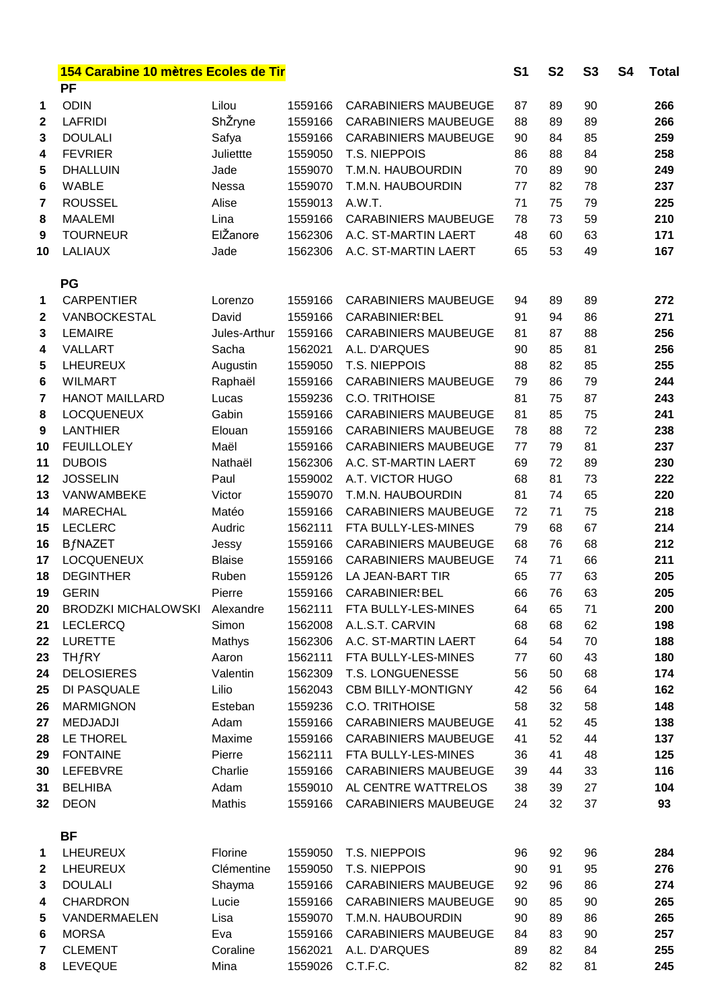|                  | 154 Carabine 10 mètres Ecoles de Tir |               |                  |                              |    | S <sub>1</sub><br><b>S2</b><br><b>S3</b> |    | S4 | <b>Total</b> |
|------------------|--------------------------------------|---------------|------------------|------------------------------|----|------------------------------------------|----|----|--------------|
|                  | <b>PF</b>                            |               |                  |                              |    |                                          |    |    |              |
| 1                | <b>ODIN</b>                          | Lilou         | 1559166          | <b>CARABINIERS MAUBEUGE</b>  | 87 | 89                                       | 90 |    | 266          |
| $\mathbf 2$      | <b>LAFRIDI</b>                       | ShŽryne       | 1559166          | <b>CARABINIERS MAUBEUGE</b>  | 88 | 89                                       | 89 |    | 266          |
| 3                | <b>DOULALI</b>                       | Safya         | 1559166          | <b>CARABINIERS MAUBEUGE</b>  | 90 | 84                                       | 85 |    | 259          |
| 4                | <b>FEVRIER</b>                       | Juliettte     | 1559050          | T.S. NIEPPOIS                | 86 | 88                                       | 84 |    | 258          |
| 5                | <b>DHALLUIN</b>                      | Jade          | 1559070          | T.M.N. HAUBOURDIN            | 70 | 89                                       | 90 |    | 249          |
| 6                | <b>WABLE</b>                         | Nessa         | 1559070          | T.M.N. HAUBOURDIN            | 77 | 82                                       | 78 |    | 237          |
| 7                | <b>ROUSSEL</b>                       | Alise         | 1559013          | A.W.T.                       | 71 | 75                                       | 79 |    | 225          |
| 8                | <b>MAALEMI</b>                       | Lina          | 1559166          | <b>CARABINIERS MAUBEUGE</b>  | 78 | 73                                       | 59 |    | 210          |
| 9                | <b>TOURNEUR</b>                      | ElŽanore      | 1562306          | A.C. ST-MARTIN LAERT         | 48 | 60                                       | 63 |    | 171          |
| 10               | <b>LALIAUX</b>                       | Jade          | 1562306          | A.C. ST-MARTIN LAERT         | 65 | 53                                       | 49 |    | 167          |
|                  | PG                                   |               |                  |                              |    |                                          |    |    |              |
| 1                | <b>CARPENTIER</b>                    | Lorenzo       | 1559166          | <b>CARABINIERS MAUBEUGE</b>  | 94 | 89                                       | 89 |    | 272          |
| $\boldsymbol{2}$ | VANBOCKESTAL                         | David         | 1559166          | <b>CARABINIER</b> BEL        | 91 | 94                                       | 86 |    | 271          |
| 3                | <b>LEMAIRE</b>                       | Jules-Arthur  | 1559166          | <b>CARABINIERS MAUBEUGE</b>  | 81 | 87                                       | 88 |    | 256          |
| 4                | VALLART                              | Sacha         | 1562021          | A.L. D'ARQUES                | 90 | 85                                       | 81 |    | 256          |
| 5                | <b>LHEUREUX</b>                      | Augustin      | 1559050          | T.S. NIEPPOIS                | 88 | 82                                       | 85 |    | 255          |
| 6                | <b>WILMART</b>                       | Raphaël       | 1559166          | <b>CARABINIERS MAUBEUGE</b>  | 79 | 86                                       | 79 |    | 244          |
| 7                | <b>HANOT MAILLARD</b>                | Lucas         | 1559236          | <b>C.O. TRITHOISE</b>        | 81 | 75                                       | 87 |    | 243          |
| 8                | <b>LOCQUENEUX</b>                    | Gabin         | 1559166          | <b>CARABINIERS MAUBEUGE</b>  | 81 | 85                                       | 75 |    | 241          |
| 9                | <b>LANTHIER</b>                      | Elouan        | 1559166          | <b>CARABINIERS MAUBEUGE</b>  | 78 | 88                                       | 72 |    | 238          |
| 10               | <b>FEUILLOLEY</b>                    | Maël          | 1559166          | <b>CARABINIERS MAUBEUGE</b>  | 77 | 79                                       | 81 |    | 237          |
| 11               | <b>DUBOIS</b>                        | Nathaël       | 1562306          | A.C. ST-MARTIN LAERT         | 69 | 72                                       | 89 |    | 230          |
| 12               | <b>JOSSELIN</b>                      | Paul          | 1559002          | A.T. VICTOR HUGO             | 68 | 81                                       | 73 |    | 222          |
| 13               | VANWAMBEKE                           | Victor        | 1559070          | T.M.N. HAUBOURDIN            | 81 | 74                                       | 65 |    | 220          |
| 14               | <b>MARECHAL</b>                      | Matéo         | 1559166          | <b>CARABINIERS MAUBEUGE</b>  | 72 | 71                                       | 75 |    | 218          |
| 15               | <b>LECLERC</b>                       | Audric        | 1562111          | FTA BULLY-LES-MINES          | 79 | 68                                       | 67 |    | 214          |
| 16               | <b>BfNAZET</b>                       | Jessy         | 1559166          | <b>CARABINIERS MAUBEUGE</b>  | 68 | 76                                       | 68 |    | 212          |
| 17               | <b>LOCQUENEUX</b>                    | <b>Blaise</b> | 1559166          | <b>CARABINIERS MAUBEUGE</b>  | 74 | 71                                       | 66 |    | 211          |
| 18               | <b>DEGINTHER</b>                     | Ruben         | 1559126          | LA JEAN-BART TIR             | 65 | 77                                       | 63 |    | 205          |
| 19               | <b>GERIN</b>                         | Pierre        | 1559166          | <b>CARABINIER</b> : BEL      | 66 | 76                                       | 63 |    | 205          |
| 20               | BRODZKI MICHALOWSKI Alexandre        |               |                  | 1562111 FTA BULLY-LES-MINES  | 64 | 65                                       | 71 |    | 200          |
| 21               | <b>LECLERCQ</b>                      | Simon         | 1562008          | A.L.S.T. CARVIN              | 68 | 68                                       | 62 |    | 198          |
| 22               | <b>LURETTE</b>                       | Mathys        | 1562306          | A.C. ST-MARTIN LAERT         | 64 | 54                                       | 70 |    | 188          |
| 23               | THfRY                                | Aaron         | 1562111          | FTA BULLY-LES-MINES          | 77 | 60                                       | 43 |    | 180          |
| 24               | <b>DELOSIERES</b>                    | Valentin      | 1562309          | T.S. LONGUENESSE             | 56 | 50                                       | 68 |    | 174          |
| 25               | DI PASQUALE                          | Lilio         | 1562043          | <b>CBM BILLY-MONTIGNY</b>    | 42 | 56                                       | 64 |    | 162          |
| 26               | <b>MARMIGNON</b>                     | Esteban       | 1559236          | <b>C.O. TRITHOISE</b>        | 58 | 32                                       | 58 |    | 148          |
| 27               | <b>MEDJADJI</b>                      | Adam          | 1559166          | <b>CARABINIERS MAUBEUGE</b>  | 41 | 52                                       | 45 |    | 138          |
| 28               | LE THOREL                            | Maxime        |                  | 1559166 CARABINIERS MAUBEUGE | 41 | 52                                       | 44 |    | 137          |
| 29               | <b>FONTAINE</b>                      | Pierre        | 1562111          | FTA BULLY-LES-MINES          | 36 | 41                                       | 48 |    | 125          |
| 30               | LEFEBVRE                             | Charlie       |                  | 1559166 CARABINIERS MAUBEUGE | 39 | 44                                       | 33 |    | 116          |
| 31               | <b>BELHIBA</b>                       | Adam          | 1559010          | AL CENTRE WATTRELOS          | 38 | 39                                       | 27 |    | 104          |
| 32               | <b>DEON</b>                          | Mathis        |                  | 1559166 CARABINIERS MAUBEUGE | 24 | 32                                       | 37 |    | 93           |
|                  |                                      |               |                  |                              |    |                                          |    |    |              |
|                  | <b>BF</b>                            |               |                  |                              |    |                                          |    |    |              |
| 1                | <b>LHEUREUX</b>                      | Florine       |                  | 1559050 T.S. NIEPPOIS        | 96 | 92                                       | 96 |    | 284          |
| $\boldsymbol{2}$ | <b>LHEUREUX</b>                      | Clémentine    | 1559050          | T.S. NIEPPOIS                | 90 | 91                                       | 95 |    | 276          |
| 3                | <b>DOULALI</b>                       | Shayma        | 1559166          | <b>CARABINIERS MAUBEUGE</b>  | 92 | 96                                       | 86 |    | 274          |
| 4                | <b>CHARDRON</b>                      | Lucie         | 1559166          | <b>CARABINIERS MAUBEUGE</b>  | 90 | 85                                       | 90 |    | 265          |
| 5                | VANDERMAELEN                         | Lisa          | 1559070          | T.M.N. HAUBOURDIN            | 90 | 89                                       | 86 |    | 265          |
| 6                | <b>MORSA</b>                         | Eva           | 1559166          | <b>CARABINIERS MAUBEUGE</b>  | 84 | 83                                       | 90 |    | 257          |
| 7                | <b>CLEMENT</b>                       | Coraline      | 1562021          | A.L. D'ARQUES                | 89 | 82                                       | 84 |    | 255          |
| 8                | <b>LEVEQUE</b>                       | Mina          | 1559026 C.T.F.C. |                              | 82 | 82                                       | 81 |    | 245          |
|                  |                                      |               |                  |                              |    |                                          |    |    |              |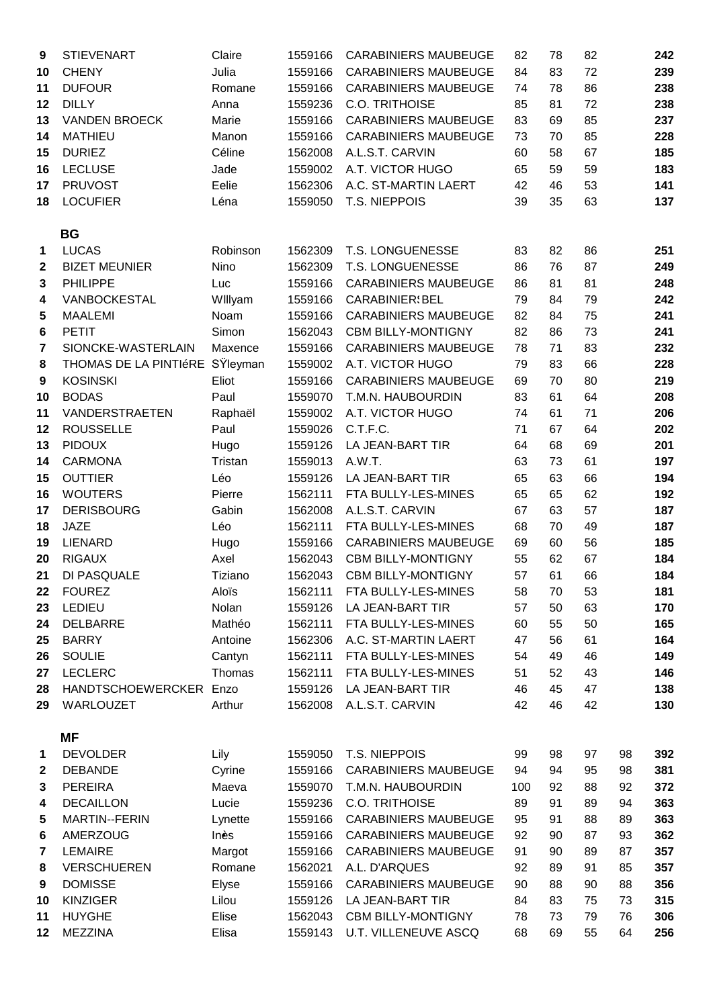| 9                | <b>STIEVENART</b>        | Claire   | 1559166 | <b>CARABINIERS MAUBEUGE</b> | 82  | 78 | 82 |    | 242 |
|------------------|--------------------------|----------|---------|-----------------------------|-----|----|----|----|-----|
| 10               | <b>CHENY</b>             | Julia    | 1559166 | <b>CARABINIERS MAUBEUGE</b> | 84  | 83 | 72 |    | 239 |
| 11               | <b>DUFOUR</b>            | Romane   | 1559166 | <b>CARABINIERS MAUBEUGE</b> | 74  | 78 | 86 |    | 238 |
| 12               | <b>DILLY</b>             | Anna     | 1559236 | <b>C.O. TRITHOISE</b>       | 85  | 81 | 72 |    | 238 |
| 13               | <b>VANDEN BROECK</b>     | Marie    | 1559166 | <b>CARABINIERS MAUBEUGE</b> | 83  | 69 | 85 |    | 237 |
|                  |                          |          |         |                             |     |    |    |    |     |
| 14               | <b>MATHIEU</b>           | Manon    | 1559166 | <b>CARABINIERS MAUBEUGE</b> | 73  | 70 | 85 |    | 228 |
| 15               | <b>DURIEZ</b>            | Céline   | 1562008 | A.L.S.T. CARVIN             | 60  | 58 | 67 |    | 185 |
| 16               | <b>LECLUSE</b>           | Jade     | 1559002 | A.T. VICTOR HUGO            | 65  | 59 | 59 |    | 183 |
| 17               | <b>PRUVOST</b>           | Eelie    | 1562306 | A.C. ST-MARTIN LAERT        | 42  | 46 | 53 |    | 141 |
| 18               | <b>LOCUFIER</b>          | Léna     | 1559050 | T.S. NIEPPOIS               | 39  | 35 | 63 |    | 137 |
|                  | <b>BG</b>                |          |         |                             |     |    |    |    |     |
|                  |                          |          |         |                             |     |    |    |    |     |
| 1                | <b>LUCAS</b>             | Robinson | 1562309 | T.S. LONGUENESSE            | 83  | 82 | 86 |    | 251 |
| $\boldsymbol{2}$ | <b>BIZET MEUNIER</b>     | Nino     | 1562309 | T.S. LONGUENESSE            | 86  | 76 | 87 |    | 249 |
| 3                | <b>PHILIPPE</b>          | Luc      | 1559166 | <b>CARABINIERS MAUBEUGE</b> | 86  | 81 | 81 |    | 248 |
| 4                | VANBOCKESTAL             | Willyam  | 1559166 | <b>CARABINIER</b> BEL       | 79  | 84 | 79 |    | 242 |
| 5                | <b>MAALEMI</b>           | Noam     | 1559166 | <b>CARABINIERS MAUBEUGE</b> | 82  | 84 | 75 |    | 241 |
| $\bf 6$          | <b>PETIT</b>             | Simon    | 1562043 | <b>CBM BILLY-MONTIGNY</b>   | 82  | 86 | 73 |    | 241 |
| $\overline{7}$   | SIONCKE-WASTERLAIN       | Maxence  | 1559166 | <b>CARABINIERS MAUBEUGE</b> | 78  | 71 | 83 |    | 232 |
| 8                | THOMAS DE LA PINTIÉRE    | SŸleyman | 1559002 | A.T. VICTOR HUGO            | 79  | 83 | 66 |    | 228 |
| $\boldsymbol{9}$ | <b>KOSINSKI</b>          | Eliot    | 1559166 | <b>CARABINIERS MAUBEUGE</b> | 69  | 70 | 80 |    | 219 |
| 10               | <b>BODAS</b>             | Paul     | 1559070 | T.M.N. HAUBOURDIN           | 83  | 61 | 64 |    | 208 |
| 11               | VANDERSTRAETEN           | Raphaël  | 1559002 | A.T. VICTOR HUGO            | 74  | 61 | 71 |    | 206 |
| 12               | <b>ROUSSELLE</b>         | Paul     | 1559026 | C.T.F.C.                    | 71  | 67 | 64 |    | 202 |
| 13               | <b>PIDOUX</b>            | Hugo     | 1559126 | LA JEAN-BART TIR            | 64  | 68 | 69 |    | 201 |
| 14               | <b>CARMONA</b>           | Tristan  | 1559013 | A.W.T.                      | 63  | 73 | 61 |    | 197 |
| 15               | <b>OUTTIER</b>           | Léo      | 1559126 | LA JEAN-BART TIR            | 65  | 63 | 66 |    | 194 |
| 16               | <b>WOUTERS</b>           | Pierre   | 1562111 | FTA BULLY-LES-MINES         | 65  | 65 | 62 |    | 192 |
| 17               | <b>DERISBOURG</b>        | Gabin    | 1562008 | A.L.S.T. CARVIN             | 67  | 63 | 57 |    | 187 |
| 18               | <b>JAZE</b>              | Léo      | 1562111 | FTA BULLY-LES-MINES         | 68  | 70 | 49 |    | 187 |
| 19               | <b>LIENARD</b>           | Hugo     | 1559166 | <b>CARABINIERS MAUBEUGE</b> | 69  | 60 | 56 |    | 185 |
| 20               | <b>RIGAUX</b>            | Axel     | 1562043 | <b>CBM BILLY-MONTIGNY</b>   | 55  | 62 | 67 |    | 184 |
| 21               | DI PASQUALE              | Tiziano  | 1562043 | <b>CBM BILLY-MONTIGNY</b>   | 57  | 61 | 66 |    | 184 |
| 22               | <b>FOUREZ</b>            | Aloïs    | 1562111 | FTA BULLY-LES-MINES         | 58  | 70 | 53 |    | 181 |
| 23               | LEDIEU                   | Nolan    | 1559126 | LA JEAN-BART TIR            | 57  | 50 | 63 |    | 170 |
| 24               | <b>DELBARRE</b>          | Mathéo   | 1562111 | FTA BULLY-LES-MINES         | 60  | 55 | 50 |    | 165 |
| 25               | <b>BARRY</b>             | Antoine  | 1562306 | A.C. ST-MARTIN LAERT        | 47  | 56 | 61 |    | 164 |
| 26               | <b>SOULIE</b>            | Cantyn   | 1562111 | FTA BULLY-LES-MINES         | 54  | 49 | 46 |    | 149 |
| 27               | <b>LECLERC</b>           | Thomas   | 1562111 | FTA BULLY-LES-MINES         | 51  | 52 | 43 |    | 146 |
| 28               | <b>HANDTSCHOEWERCKER</b> | Enzo     | 1559126 | LA JEAN-BART TIR            | 46  | 45 | 47 |    | 138 |
| 29               | <b>WARLOUZET</b>         | Arthur   | 1562008 | A.L.S.T. CARVIN             | 42  | 46 | 42 |    | 130 |
|                  |                          |          |         |                             |     |    |    |    |     |
|                  | <b>MF</b>                |          |         |                             |     |    |    |    |     |
| $\mathbf 1$      | <b>DEVOLDER</b>          | Lily     | 1559050 | T.S. NIEPPOIS               | 99  | 98 | 97 | 98 | 392 |
| $\mathbf{2}$     | <b>DEBANDE</b>           | Cyrine   | 1559166 | <b>CARABINIERS MAUBEUGE</b> | 94  | 94 | 95 | 98 | 381 |
| 3                | <b>PEREIRA</b>           | Maeva    | 1559070 | T.M.N. HAUBOURDIN           | 100 | 92 | 88 | 92 | 372 |
| 4                | <b>DECAILLON</b>         | Lucie    | 1559236 | C.O. TRITHOISE              | 89  | 91 | 89 | 94 | 363 |
| 5                | MARTIN--FERIN            | Lynette  | 1559166 | <b>CARABINIERS MAUBEUGE</b> | 95  | 91 | 88 | 89 | 363 |
| 6                | <b>AMERZOUG</b>          | Inès     | 1559166 | <b>CARABINIERS MAUBEUGE</b> | 92  | 90 | 87 | 93 | 362 |
| 7                | <b>LEMAIRE</b>           | Margot   | 1559166 | <b>CARABINIERS MAUBEUGE</b> | 91  | 90 | 89 | 87 | 357 |
| 8                | <b>VERSCHUEREN</b>       | Romane   | 1562021 | A.L. D'ARQUES               | 92  | 89 | 91 | 85 | 357 |
| 9                | <b>DOMISSE</b>           | Elyse    | 1559166 | <b>CARABINIERS MAUBEUGE</b> | 90  | 88 | 90 | 88 | 356 |
| 10               | <b>KINZIGER</b>          | Lilou    | 1559126 | LA JEAN-BART TIR            | 84  | 83 | 75 | 73 | 315 |
| 11               | <b>HUYGHE</b>            | Elise    | 1562043 | <b>CBM BILLY-MONTIGNY</b>   | 78  | 73 | 79 | 76 | 306 |
| 12               | <b>MEZZINA</b>           | Elisa    | 1559143 | <b>U.T. VILLENEUVE ASCQ</b> | 68  | 69 | 55 | 64 | 256 |